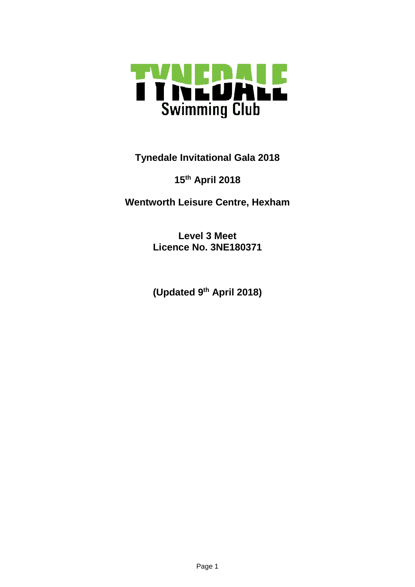

**Tynedale Invitational Gala 2018**

## **15th April 2018**

**Wentworth Leisure Centre, Hexham**

**Level 3 Meet Licence No. 3NE180371**

**(Updated 9th April 2018)**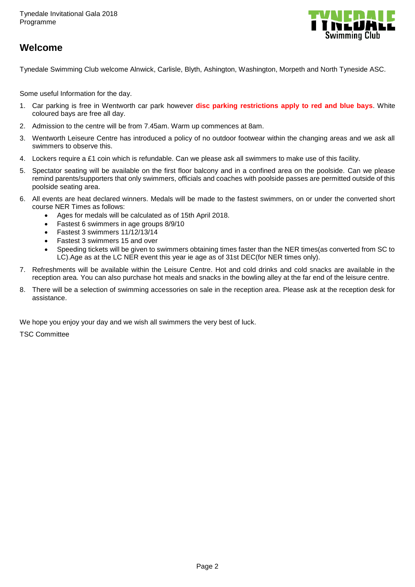

## **Welcome**

Tynedale Swimming Club welcome Alnwick, Carlisle, Blyth, Ashington, Washington, Morpeth and North Tyneside ASC.

Some useful Information for the day.

- 1. Car parking is free in Wentworth car park however **disc parking restrictions apply to red and blue bays**. White coloured bays are free all day.
- 2. Admission to the centre will be from 7.45am. Warm up commences at 8am.
- 3. Wentworth Leiseure Centre has introduced a policy of no outdoor footwear within the changing areas and we ask all swimmers to observe this.
- 4. Lockers require a £1 coin which is refundable. Can we please ask all swimmers to make use of this facility.
- 5. Spectator seating will be available on the first floor balcony and in a confined area on the poolside. Can we please remind parents/supporters that only swimmers, officials and coaches with poolside passes are permitted outside of this poolside seating area.
- 6. All events are heat declared winners. Medals will be made to the fastest swimmers, on or under the converted short course NER Times as follows:
	- Ages for medals will be calculated as of 15th April 2018.
	- Fastest 6 swimmers in age groups 8/9/10
	- Fastest 3 swimmers 11/12/13/14
	- Fastest 3 swimmers 15 and over
	- Speeding tickets will be given to swimmers obtaining times faster than the NER times(as converted from SC to LC).Age as at the LC NER event this year ie age as of 31st DEC(for NER times only).
- 7. Refreshments will be available within the Leisure Centre. Hot and cold drinks and cold snacks are available in the reception area. You can also purchase hot meals and snacks in the bowling alley at the far end of the leisure centre.
- 8. There will be a selection of swimming accessories on sale in the reception area. Please ask at the reception desk for assistance.

We hope you enjoy your day and we wish all swimmers the very best of luck.

TSC Committee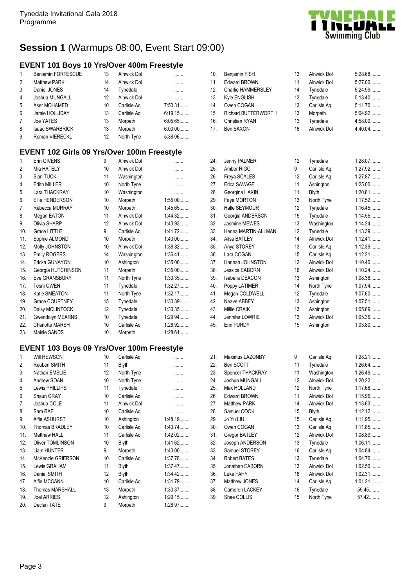

## **Session 1** (Warmups 08:00, Event Start 09:00)

### **EVENT 101 Boys 10 Yrs/Over 400m Freestyle**

| $\mathbf{1}$ .   | Benjamin FORTESCUE     | 13 | <b>Alnwick Dol</b> | .         |
|------------------|------------------------|----|--------------------|-----------|
| 2.               | <b>Matthew PARK</b>    | 14 | Alnwick Dol        |           |
| 3.               | Daniel JONES           | 14 | Tynedale           | .         |
| $\overline{4}$ . | Joshua MUNGALL         | 12 | <b>Alnwick Dol</b> |           |
| 5.               | Aser MOHAMED           | 10 | Carlisle Ag        | $7:50.31$ |
| 6.               | Jamie HOLLIDAY         | 13 | Carlisle Ag        | 6:19.15   |
| 7.               | Joe YATES              | 13 | Morpeth            | 6:05.65   |
| 8.               | <b>Isaac SWARBRICK</b> | 13 | Morpeth            | $6:00.00$ |
| 9.               | Roman VIERECKL         | 12 | North Tyne         | 5:38.06   |

### **EVENT 102 Girls 09 Yrs/Over 100m Freestyle**

| 1.  | Erin GIVENS            | 9               | Alnwick Dol | .         |
|-----|------------------------|-----------------|-------------|-----------|
| 2.  | Mia HATELY             | 10              | Alnwick Dol | .         |
| 3.  | Sian TUCK              | 11              | Washington  | .         |
| 4.  | <b>Edith MILLER</b>    | 10              | North Tyne  |           |
| 5.  | Lara THACKRAY          | 10 <sup>1</sup> | Washington  | .         |
| 6.  | Ellie HENDERSON        | 10              | Morpeth     | $1:55.00$ |
| 7.  | Rebecca MURRAY         | 10              | Morpeth     | 1:45.65   |
| 8.  | Megan EATON            | 11              | Alnwick Dol | 1:44.32   |
| 9.  | Olivia SHARP           | 12              | Alnwick Dol | 1:43.93   |
| 10. | Grace LITTLE           | 9               | Carlisle Aq | 1:41.72   |
| 11. | Sophie ALMOND          | 10              | Morpeth     | $1:40.00$ |
| 12. | Molly JOHNSTON         | 10 <sup>1</sup> | Alnwick Dol | 1:38.82   |
| 13. | <b>Emily ROGERS</b>    | 14              | Washington  | $1:36.41$ |
| 14. | Ericka GUNAYON         | 10 <sup>1</sup> | Ashington   | $1:35.00$ |
| 15. | Georgia HUTCHINSON     | 11              | Morpeth     | $1:35.00$ |
| 16. | Eve GRANSBURY          | 11              | North Tyne  | 1:33.35   |
| 17. | Tesni OWEN             | 11              | Tynedale    | 1:32.27   |
| 18. | Katie SMEATON          | 11              | North Tyne  | 1:32.17   |
| 19. | Grace COURTNEY         | 15              | Tynedale    | 1:30.39   |
| 20. | Daisy MCLINTOCK        | 12              | Tynedale    | 1:30.35   |
| 21. | Gwendolyn MEARNS       | 10              | Tynedale    | 1:29.94   |
| 22. | <b>Charlotte MARSH</b> | 10              | Carlisle Aq | 1:28.92   |
| 23. | Maisie SANDS           | 10              | Morpeth     | 1:28.61   |

### **EVENT 103 Boys 09 Yrs/Over 100m Freestyle**

| 1.  | Will HEWSON             | 10 | Carlisle Ag        |           |
|-----|-------------------------|----|--------------------|-----------|
| 2.  | Reuben SMITH            | 11 | <b>Blyth</b>       |           |
| 3.  | Nathan EMSLIE           | 12 | North Tyne         | .         |
| 4.  | Andrew SOAN             | 10 | North Tyne         | .         |
| 5.  | Lewis PHILLIPS          | 11 | Tynedale           | .         |
| 6.  | Shaun GRAY              | 10 | Carlisle Ag        | .         |
| 7.  | Joshua COLE             | 11 | <b>Alnwick Dol</b> | .         |
| 8.  | Sam RAE                 | 10 | Carlisle Aq        | .         |
| 9.  | Alfie ASHURST           | 10 | Ashington          | 1:48.19   |
| 10. | <b>Thomas BRADLEY</b>   | 10 | Carlisle Aq        | 1:43.74   |
| 11. | Matthew HALL            | 11 | Carlisle Ag        | $1:42.02$ |
| 12. | <b>Oliver TOMLINSON</b> | 10 | <b>Blyth</b>       | 1:41.62   |
| 13. | <b>Liam HUNTER</b>      | 9  | Morpeth            | $1:40.00$ |
| 14. | McKenzie GRIERSON       | 10 | Carlisle Aq        | 1:37.78   |
| 15. | Lewis GRAHAM            | 11 | Blyth              | 1:37.47   |
| 16. | Daniel SMITH            | 12 | <b>Blyth</b>       | 1:34.42   |
| 17. | Alfie MCCANN            | 10 | Carlisle Aq        | 1:31.79   |
| 18. | <b>Thomas MARSHALL</b>  | 13 | Morpeth            | 1:30.37   |
| 19. | <b>Joel ARRIES</b>      | 12 | Ashington          | 1:29.15   |
| 20. | Declan TATE             | 9  | Morpeth            | 1:28.97   |

| 10. | <b>Benjamin FISH</b>       | 13 | <b>Alnwick Dol</b> | 5:28.68   |
|-----|----------------------------|----|--------------------|-----------|
| 11. | Edward BROWN               | 11 | <b>Alnwick Dol</b> | $5:27.00$ |
| 12. | Charlie HAMMERSLEY         | 14 | Tynedale           | 5:24.99   |
| 13. | Kyle ENGLISH               | 13 | Tynedale           | 5:13.40   |
| 14. | Owen COGAN                 | 13 | Carlisle Ag        | 5:11.70   |
| 15. | <b>Richard BUTTERWORTH</b> | 13 | Morpeth            | 5:04.92   |
| 16. | Christian RYAN             | 13 | Tynedale           | $4:58.00$ |
| 17. | Ben SAXON                  | 16 | <b>Alnwick Dol</b> | 4:40.04   |

| 24. | Jenny PALMER        | 12              | Tynedale     | 1:28.07   |
|-----|---------------------|-----------------|--------------|-----------|
| 25. | Amber RIGG          | 9               | Carlisle Aq  | 1:27.92   |
| 26. | Freya SCALES        | 12 <sup>°</sup> | Carlisle Aq  | 1:27.87   |
| 27. | Erica SAVAGE        | 11              | Ashington    | $1:25.00$ |
| 28. | Georgina HAKIN      | 11              | <b>Blyth</b> | $1:20.81$ |
| 29. | Faye MORTON         | 13              | North Tyne   | 1:17.52   |
| 30. | Halle SEYMOUR       | 12              | Tynedale     | 1:16.45   |
| 31. | Georgia ANDERSON    | 15              | Tynedale     | 1:14.55   |
| 32. | Jasmine MEWES       | 13              | Washington   | 1:14.24   |
| 33. | Henna MARTIN-ALLMAN | 12 <sup>°</sup> | Tynedale     | 1:13.39   |
| 34. | Ailsa BATLEY        | 14              | Alnwick Dol  | $1:12.41$ |
| 35. | Anya STOREY         | 13              | Carlisle Aq  | 1:12.39   |
| 36. | Lara COGAN          | 15              | Carlisle Ag  | $1:12.21$ |
| 37. | Hannah JOHNSTON     | 12              | Alnwick Dol  | $1:10.40$ |
| 38. | Jessica EABORN      | 16              | Alnwick Dol  | 1:10.24   |
| 39. | Isabella DEACON     | 13              | Ashington    | 1:08.38   |
| 40. | Poppy LATIMER       | 14              | North Tyne   | 1:07.94   |
| 41. | Megan COLDWELL      | 12 <sup>°</sup> | Tynedale     | 1:07.60   |
| 42. | Neave ABBEY         | 13              | Ashington    | $1:07.51$ |
| 43. | Millie CRAIK        | 13              | Ashington    | 1:05.89   |
| 44. | Jennifer LOWRIE     | 13              | Alnwick Dol  | 1:05.36   |
| 45. | Erin PURDY          | 15              | Ashington    | 1:03.80   |

| 21. | Maximus LAZONBY      | 9  | Carlisle Ag  | $1:28.21$ |
|-----|----------------------|----|--------------|-----------|
| 22. | Ben SCOTT            | 11 | Tynedale     | 1:26.64   |
| 23. | Spencer THACKRAY     | 11 | Washington   | 1:26.49   |
| 24. | Joshua MUNGALL       | 12 | Alnwick Dol  | $1:20.22$ |
| 25. | Max HOLLAND          | 12 | North Tyne   | 1:17.66   |
| 26. | <b>Edward BROWN</b>  | 11 | Alnwick Dol  | 1:15.96   |
| 27. | <b>Matthew PARK</b>  | 14 | Alnwick Dol  | 1:13.63   |
| 28. | Samuel COOK          | 15 | <b>Blyth</b> | 1:12.12   |
| 29. | Jo Yu LIU            | 15 | Carlisle Ag  | 1:11.95   |
| 30. | Owen COGAN           | 13 | Carlisle Aq  | 1:11.85   |
| 31. | <b>Gregor BATLEY</b> | 12 | Alnwick Dol  | 1:08.89   |
| 32. | Joseph ANDERSON      | 13 | Tynedale     | $1:06.11$ |
| 33. | Samuel STOREY        | 16 | Carlisle Ag  | 1:04.84   |
| 34. | Robert BATES         | 13 | Tynedale     | 1:04.76   |
| 35. | Jonathan EABORN      | 13 | Alnwick Dol  | 1:02.50   |
| 36. | Luke FAHY            | 18 | Alnwick Dol  | 1:02.31   |
| 37. | Matthew JONES        | 14 | Carlisle Aq  | 1:01.21   |
| 38. | Cameron LACKEY       | 16 | Tynedale     | 59.45     |
| 39. | Shae COLLIS          | 15 | North Tyne   | 57.42     |
|     |                      |    |              |           |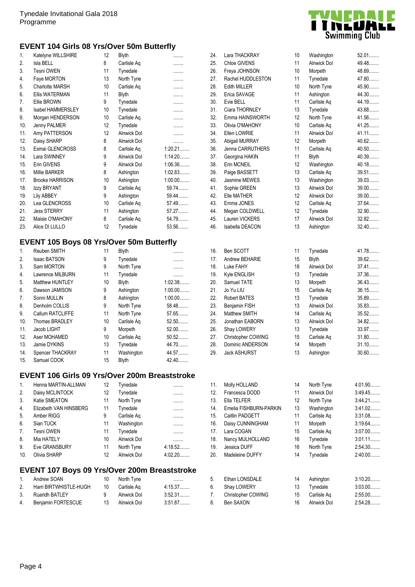### **EVENT 104 Girls 08 Yrs/Over 50m Butterfly**

| 1.  | Katelyne WILLSHIRE     | 12 | <b>Blyth</b>       |           |
|-----|------------------------|----|--------------------|-----------|
| 2.  | Isla BELL              | 8  | Carlisle Aq        | .         |
| 3.  | <b>Tesni OWEN</b>      | 11 | Tynedale           | .         |
| 4.  | Faye MORTON            | 13 | North Tyne         |           |
| 5.  | <b>Charlotte MARSH</b> | 10 | Carlisle Aq        |           |
| 6.  | <b>Ellis WATERMAN</b>  | 11 | <b>Blyth</b>       |           |
| 7.  | Ellie BROWN            | 9  | Tynedale           |           |
| 8.  | Isabel HAMMERSLEY      | 10 | Tynedale           | .         |
| 9.  | Morgan HENDERSON       | 10 | Carlisle Aq        |           |
| 10. | Jenny PALMER           | 12 | Tynedale           | .         |
| 11. | Amy PATTERSON          | 12 | <b>Alnwick Dol</b> |           |
| 12. | Daisy SHARP            | 8  | <b>Alnwick Dol</b> |           |
| 13. | Esmai GLENCROSS        | 8  | Carlisle Aq        | $1:20.21$ |
| 14. | Lara SWINNEY           | 9  | Alnwick Dol        | $1:14.20$ |
| 15. | Erin GIVENS            | 9  | Alnwick Dol        | $1:06.36$ |
| 16. | Millie BARKER          | 8  | Ashington          | $1:02.83$ |
| 17. | <b>Brooke HARRISON</b> | 10 | Ashington          | $1:00.00$ |
| 18. | Izzy BRYANT            | 9  | Carlisle Aq        | 59.74     |
| 19. | Lily ABBEY             | 9  | Ashington          | 59.44     |
| 20. | Lea GLENCROSS          | 10 | Carlisle Aq        | 57.49     |
| 21. | <b>Jess STERRY</b>     | 11 | Ashington          | 57.27     |
| 22. | Maisie O'MAHONY        | 8  | Carlisle Aq        | 54.79     |
| 23. | Alice DI LULLO         | 12 | Tynedale           | 53.56     |
|     |                        |    |                    |           |

## **EVENT 105 Boys 08 Yrs/Over 50m Butterfly**

| $\mathbf{1}$ . | Reuben SMITH        | 11 | <b>Blyth</b> |           |
|----------------|---------------------|----|--------------|-----------|
| 2.             | <b>Isaac BATSON</b> | 9  | Tynedale     |           |
| 3.             | Sam MORTON          | 9  | North Tyne   |           |
| 4.             | Lawrence MILBURN    | 11 | Tynedale     |           |
| 5.             | Matthew HUNTLEY     | 10 | <b>Blyth</b> | 1:02.38   |
| 6.             | Dawson JAMISON      | 9  | Ashington    | $1:00.00$ |
| 7.             | Sonni MULLIN        | 8  | Ashington    | $1:00.00$ |
| 8.             | Denholm COLLIS      | 9  | North Tyne   | 58.48     |
| 9.             | Callum RATCLIFFE    | 11 | North Tyne   | 57.65     |
| 10.            | Thomas BRADLEY      | 10 | Carlisle Ag  | 52.50     |
| 11.            | Jacob LIGHT         | 9  | Morpeth      | $52.00$   |
| 12.            | Aser MOHAMED        | 10 | Carlisle Ag  | $50.52$   |
| 13.            | Jamie DYKINS        | 13 | Tynedale     | 44.70     |
| 14.            | Spencer THACKRAY    | 11 | Washington   | 44.57     |
| 15.            | Samuel COOK         | 15 | <b>Blyth</b> | 42.40     |

### **EVENT 106 Girls 09 Yrs/Over 200m Breaststroke**

| $\mathbf{1}$ . | Henna MARTIN-ALLMAN    | 12 | Tynedale           |         |
|----------------|------------------------|----|--------------------|---------|
| 2.             | Daisy MCLINTOCK        | 12 | Tynedale           |         |
| 3.             | Katie SMEATON          | 11 | North Tyne         |         |
| 4.             | Elizabeth VAN HINSBERG | 11 | Tynedale           | .       |
| 5.             | Amber RIGG             | 9  | Carlisle Ag        |         |
| 6.             | Sian TUCK              | 11 | Washington         |         |
| 7.             | <b>Tesni OWEN</b>      | 11 | Tynedale           | .       |
| 8.             | Mia HATELY             | 10 | <b>Alnwick Dol</b> |         |
| 9.             | Eve GRANSBURY          | 11 | North Tyne         | 4:18.52 |
| 10.            | Olivia SHARP           | 12 | <b>Alnwick Dol</b> | 4:02.20 |

# **EVENT 107 Boys 09 Yrs/Over 200m Breaststroke**

| $1 \quad$ | Andrew SOAN            | 10 | North Tyne  |         |
|-----------|------------------------|----|-------------|---------|
| 2.        | Harri BIRTWHISTLE-HUGH | 10 | Carlisle Ag | 4:15.37 |
| 3.        | Ruaridh BATLEY         | Q  | Alnwick Dol | 3:52.31 |
|           | 4. Benjamin FORTESCUE  | 13 | Alnwick Dol | 3:51.87 |



| 24. | Lara THACKRAY       | 10 | Washington         | 52.01   |
|-----|---------------------|----|--------------------|---------|
| 25. | Chloe GIVENS        | 11 | <b>Alnwick Dol</b> | 49.48.  |
| 26. | Freya JOHNSON       | 10 | Morpeth            | 48.69   |
| 27. | Rachel HUDDLESTON   | 11 | Tynedale           | 47.80   |
| 28. | <b>Edith MILLER</b> | 10 | North Tyne         | 45.90   |
| 29. | Erica SAVAGE        | 11 | Ashington          | 44.30   |
| 30. | Evie BELL           | 11 | Carlisle Aq        | 44.19.  |
| 31. | Ciara THORNLEY      | 13 | Tynedale           | 43.68   |
| 32. | Emma HAINSWORTH     | 12 | North Tyne         | 41.56   |
| 33. | Olivia O'MAHONY     | 10 | Carlisle Aq        | 41.25   |
| 34. | Ellen LOWRIE        | 11 | <b>Alnwick Dol</b> | $41.11$ |
| 35. | Abigail MURRAY      | 12 | Morpeth            | $40.62$ |
| 36. | Jenna CARRUTHERS    | 11 | Carlisle Aq        | $40.50$ |
| 37. | Georgina HAKIN      | 11 | <b>Blyth</b>       | 40.39   |
| 38. | Erin MCNEIL         | 12 | Washington         | 40.18   |
| 39. | Paige BASSETT       | 13 | Carlisle Aq        | 39.51   |
| 40. | Jasmine MEWES       | 13 | Washington         | 39.03   |
| 41. | Sophie GREEN        | 13 | <b>Alnwick Dol</b> | 39.00   |
| 42. | Elle MATHER         | 12 | Alnwick Dol        | 39.00   |
| 43. | Emma JONES          | 12 | Carlisle Aq        | 37.64   |
| 44. | Megan COLDWELL      | 12 | Tynedale           | 32.90   |
| 45. | Lauren VICKERS      | 17 | Alnwick Dol        | 32.82   |
| 46. | Isabella DEACON     | 13 | Ashington          | 32.40   |
|     |                     |    |                    |         |
| 16. | Ben SCOTT           | 11 | Tynedale           | 41.78   |
| 17. | Andrew BEHARIE      | 15 | <b>Blyth</b>       | 39.62   |
| 18. | Luke FAHY           | 18 | <b>Alnwick Dol</b> | 37.41   |
| 19. | Kyle ENGLISH        | 13 | Tynedale           | 37.36   |
| 20. | Samuel TATE         | 13 | Morpeth            | 36.43   |
| 21. | Jo Yu LIU           | 15 | Carlisle Aq        | 36.15   |
| 22. | <b>Robert BATES</b> | 13 | Tynedale           | 35.89   |
| 23. | Benjamin FISH       | 13 | Alnwick Dol        | 35.83   |
| 24. | Matthew SMITH       | 14 | Carlisle Aq        | $35.52$ |
| 25. | Jonathan EABORN     | 13 | Alnwick Dol        | 34.82   |
| 26. | Shay LOWERY         | 13 | Tynedale           | 33.97   |
| 27. | Christopher COWING  | 15 | Carlisle Aq        | 31.80   |
| 28. | Dominic ANDERSON    | 14 | Morpeth            | 31.10   |

| 11. | Molly HOLLAND          | 14 | North Tyne         | 4:01.90   |
|-----|------------------------|----|--------------------|-----------|
| 12. | Francesca DODD         | 11 | <b>Alnwick Dol</b> | 3:49.45   |
| 13. | Ella TELFER            | 12 | North Tyne         | 3:44.21   |
| 14. | Emelia FISHBURN-PARKIN | 13 | Washington         | 3:41.02   |
| 15. | Caitlin PADGETT        | 11 | Carlisle Ag        | 3:31.08   |
| 16. | Daisy CUNNINGHAM       | 11 | Morpeth            | 3:19.64   |
| 17. | Lara COGAN             | 15 | Carlisle Ag        | 3:07.00   |
| 18. | Nancy MULHOLLAND       | 16 | Tynedale           | 3:01.11   |
| 19. | Jessica DUFF           | 16 | North Tyne         | 2:54.30   |
| 20. | Madeleine DUFFY        | 14 | Tynedale           | 2:40.00   |
|     |                        |    |                    |           |
| 5.  | Ethan LONSDALE         | 14 | Ashington          | 3:10.20   |
| 6.  | Shay LOWERY            | 13 | Tynedale           | $3:03.00$ |
| 7.  | Christopher COWING     | 15 | Carlisle Aq        | 2:55.00   |

8. Ben SAXON 16 Alnwick Dol 2:54.28........

29. Jack ASHURST 13 Ashington 30.60........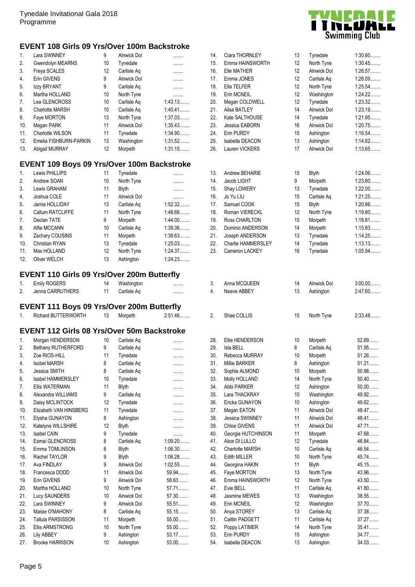#### **EVENT 108 Girls 09 Yrs/Over 100m Backstroke**

| $\mathbf{1}$ . | Lara SWINNEY           | 9  | Alnwick Dol        |           |
|----------------|------------------------|----|--------------------|-----------|
| 2.             | Gwendolyn MEARNS       | 10 | Tynedale           | .         |
| 3.             | Freya SCALES           | 12 | Carlisle Ag        | .         |
| 4.             | Erin GIVENS            | 9  | <b>Alnwick Dol</b> | .         |
| 5.             | Izzy BRYANT            | 9  | Carlisle Ag        | .         |
| 6.             | Martha HOLLAND         | 10 | North Tyne         | .         |
| 7.             | Lea GLENCROSS          | 10 | Carlisle Ag        | 1:43.13   |
| 8.             | Charlotte MARSH        | 10 | Carlisle Ag        | $1:40.41$ |
| 9.             | Faye MORTON            | 13 | North Tyne         | 1:37.03   |
| 10.            | Megan PARK             | 11 | Alnwick Dol        | 1:35.43   |
| 11.            | Charlotte WILSON       | 11 | Tynedale           | 1:34.90   |
| 12.            | Emelia FISHBURN-PARKIN | 13 | Washington         | 1:31.52   |
| 13.            | Abigail MURRAY         | 12 | Morpeth            | 1:31.15   |

### **EVENT 109 Boys 09 Yrs/Over 100m Backstroke**

| $\mathbf{1}$ .   | Lewis PHILLIPS        | 11                | Tynedale     |         |
|------------------|-----------------------|-------------------|--------------|---------|
| 2.               | Andrew SOAN           | 10                | North Tyne   | .       |
| 3.               | Lewis GRAHAM          | 11                | <b>Blyth</b> | .       |
| $\overline{4}$ . | Joshua COLE           | 11                | Alnwick Dol  |         |
| 5.               | Jamie HOLLIDAY        | 13                | Carlisle Ag  | 1:52.32 |
| 6.               | Callum RATCLIFFE      | 11                | North Tyne   | 1:48.66 |
| 7.               | Declan TATE           | 9                 | Morpeth      | 1:44.00 |
| 8.               | Alfie MCCANN          | 10                | Carlisle Ag  | 1:39.36 |
| 9.               | Zachary COUSINS       | 11                | Morpeth      | 1:38.63 |
| 10.              | <b>Christian RYAN</b> | 13                | Tynedale     | 1:25.03 |
| 11.              | Max HOLLAND           | $12 \overline{ }$ | North Tyne   | 1:24.37 |
| 12.              | Oliver WELCH          | 13                | Ashington    | 1:24.23 |

### **EVENT 110 Girls 09 Yrs/Over 200m Butterfly**

|    | <b>Emily ROGERS</b> | Washington  |  |
|----|---------------------|-------------|--|
| 2. | Jenna CARRUTHERS    | Carlisle Ag |  |

### **EVENT 111 Boys 09 Yrs/Over 200m Butterfly**

|  | <b><i>TERWORTH</i></b><br>Richard BUT | £<br>. | 1orpeth | $\sim$<br>אינ<br>$\mathbf{u}$<br>. ت ت<br>⊤∪ |  | Shae (<br>UULLIU |  | Tyne<br>Nor | <b>2.33 AR</b> |
|--|---------------------------------------|--------|---------|----------------------------------------------|--|------------------|--|-------------|----------------|
|--|---------------------------------------|--------|---------|----------------------------------------------|--|------------------|--|-------------|----------------|

#### **EVENT 112 Girls 08 Yrs/Over 50m Backstroke**

| 1.  | Morgan HENDERSON       | 10 | Carlisle Ag        |         |
|-----|------------------------|----|--------------------|---------|
| 2.  | Bethany RUTHERFORD     | 9  | Carlisle Aq        |         |
| 3.  | Zoe RIOS-HILL          | 11 | Tynedale           | .       |
| 4.  | <b>Isobel MARSH</b>    | 8  | Carlisle Ag        | .       |
| 5.  | Jessica SMITH          | 8  | Carlisle Aq        | .       |
| 6.  | Isabel HAMMERSLEY      | 10 | Tynedale           |         |
| 7.  | <b>Ellis WATERMAN</b>  | 11 | <b>Blyth</b>       |         |
| 8.  | Alexandra WILLIAMS     | 9  | Carlisle Aq        | .       |
| 9.  | Daisy MCLINTOCK        | 12 | Tynedale           | .       |
| 10. | Elizabeth VAN HINSBERG | 11 | Tynedale           |         |
| 11. | Elysha GUNAYON         | 8  | Ashington          |         |
| 12. | Katelyne WILLSHIRE     | 12 | <b>Blyth</b>       |         |
| 13. | Isabel CAIN            | 9  | Tynedale           |         |
| 14. | Esmai GLENCROSS        | 8  | Carlisle Ag        | 1:09.20 |
| 15. | Emma TOMLINSON         | 8  | <b>Blyth</b>       | 1:06.30 |
| 16. | Rachel TAYLOR          | 9  | <b>Blyth</b>       | 1:06.28 |
| 17. | Ava FINDLAY            | 9  | Alnwick Dol        | 1:02.55 |
| 18. | Francesca DODD         | 11 | Alnwick Dol        | 59.94   |
| 19. | Erin GIVENS            | 9  | <b>Alnwick Dol</b> | 58.63   |
| 20. | Martha HOLLAND         | 10 | North Tyne         | 57.71   |
| 21. | <b>Lucy SAUNDERS</b>   | 10 | Alnwick Dol        | 57.30   |
| 22. | Lara SWINNEY           | 9  | <b>Alnwick Dol</b> | 55.51   |
| 23. | Maisie O'MAHONY        | 8  | Carlisle Ag        | 55.15   |
| 24. | Tallula PARSISSON      | 11 | Morpeth            | 55.00   |
| 25. | <b>Ellis ARMSTRONG</b> | 10 | North Tyne         | 55.00   |
| 26. | Lily ABBEY             | 9  | Ashington          | 53.17   |
| 27. | <b>Brooke HARRISON</b> | 10 | Ashington          | 53.00   |



| 14. | Ciara THORNLEY         | 13 | Tynedale           | $1:30.60$ |
|-----|------------------------|----|--------------------|-----------|
| 15. | Emma HAINSWORTH        | 12 | North Tyne         | 1:30.45   |
| 16. | Elle MATHER            | 12 | <b>Alnwick Dol</b> | 1:26.57   |
| 17. | Emma JONES             | 12 | Carlisle Ag        | 1:26.09   |
| 18. | Ella TELFER            | 12 | North Tyne         | 1:25.54   |
| 19. | Erin MCNEIL            | 12 | Washington         | 1:24.22   |
| 20. | Megan COLDWELL         | 12 | Tynedale           | 1:23.32   |
| 21. | Ailsa BATLEY           | 14 | Alnwick Dol        | 1:23.19   |
| 22. | Kate SALTHOUSE         | 14 | Tynedale           | 1:21.95   |
| 23. | Jessica EABORN         | 16 | <b>Alnwick Dol</b> | 1:20.75   |
| 24. | Erin PURDY             | 15 | Ashington          | 1:16.54   |
| 25. | Isabella DEACON        | 13 | Ashington          | 1:14.82   |
| 26. | Lauren VICKERS         | 17 | <b>Alnwick Dol</b> | 1:13.65   |
|     |                        |    |                    |           |
| 13. | Andrew BEHARIE         | 15 | <b>Blyth</b>       | 1:24.06   |
| 14. | Jacob LIGHT            | 9  | Morpeth            | 1:23.80   |
| 15. | Shay LOWERY            | 13 | Tynedale           | $1:22.00$ |
| 16. | Jo Yu LIU              | 15 | Carlisle Aq        | 1:21.25   |
| 17. | Samuel COOK            | 15 | <b>Blyth</b>       | 1:20.86   |
| 18. | Roman VIERECKL         | 12 | North Tyne         | 1:19.80   |
| 19. | Ross CHARLTON          | 15 | Morpeth            | 1:18.81   |
| 20. | Dominic ANDERSON       | 14 | Morpeth            | 1:15.83   |
| 21. | Joseph ANDERSON        | 13 | Tynedale           | 1:14.25   |
| 22. | Charlie HAMMERSLEY     | 14 | Tynedale           | 1:13.13   |
| 23. | Cameron LACKEY         | 16 | Tynedale           | 1:05.94   |
| 3.  | Anna MCQUEEN           | 14 | <b>Alnwick Dol</b> | $3:00.00$ |
| 4.  | Neave ABBEY            | 13 | Ashington          | 2:47.60   |
|     |                        |    |                    |           |
| 2.  | Shae COLLIS            | 15 | North Tyne         | 2:33.48   |
|     |                        |    |                    |           |
| 28. | Ellie HENDERSON        | 10 | Morpeth            | 52.69     |
| 29. | Isla BELL              | 8  | Carlisle Aq        | 51.95     |
| 30. | Rebecca MURRAY         | 10 | Morpeth            | 51.26     |
| 31. | <b>Millie BARKER</b>   | 8  | Ashington          | 51.21     |
| 32. | Sophie ALMOND          | 10 | Morpeth            | 50.98     |
| 33. | Molly HOLLAND          | 14 | North Tyne         | $50.40$   |
| 34. | Abbi PARKER            | 12 | Ashington          | $50.00$   |
| 35. | Lara THACKRAY          | 10 | Washington         | 49.92     |
| 36. | Ericka GUNAYON         | 10 | Ashington          | 49.62     |
| 37. | Megan EATON            | 11 | Alnwick Dol        | 48.47     |
| 38. | Jessica SWINNEY        | 11 | Alnwick Dol        | 48.41     |
| 39. | Chloe GIVENS           | 11 | <b>Alnwick Dol</b> | 47.71     |
| 40. | Georgia HUTCHINSON     | 11 | Morpeth            | 47.68     |
| 41. | Alice DI LULLO         | 12 | Tynedale           | 46.84     |
| 42. | <b>Charlotte MARSH</b> | 10 | Carlisle Aq        | 46.54     |
| 43. | <b>Edith MILLER</b>    | 10 | North Tyne         | 45.74     |
| 44. | Georgina HAKIN         | 11 | <b>Blyth</b>       | 45.15     |
| 45. | Faye MORTON            | 13 | North Tyne         | 43.96     |
| 46. | Emma HAINSWORTH        | 12 | North Tyne         | 43.50     |
| 47. | Evie BELL              | 11 | Carlisle Aq        | 41.80     |
| 48. | Jasmine MEWES          | 13 | Washington         | 38.55     |
| 49. | Erin MCNEIL            | 12 | Washington         | 37.70     |
| 50. | Anya STOREY            | 13 | Carlisle Aq        | 37.38     |
| 51. | Caitlin PADGETT        | 11 | Carlisle Aq        | 37.27     |
| 52. | Poppy LATIMER          | 14 | North Tyne         | 35.41     |
| 53. | Erin PURDY             | 15 | Ashington          | 34.77     |
| 54. | Isabella DEACON        | 13 | Ashington          | 34.03     |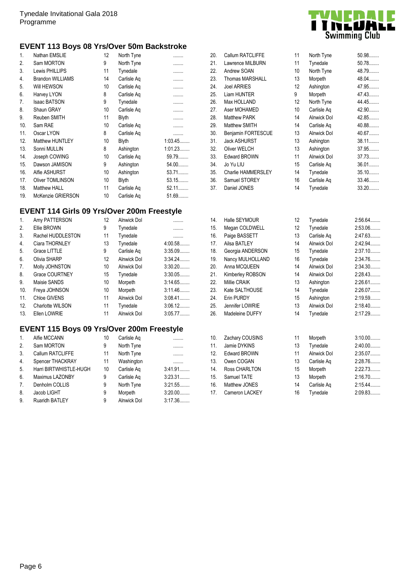#### **EVENT 113 Boys 08 Yrs/Over 50m Backstroke**

| 1.             | Nathan EMSLIE           | 12 | North Tyne   | .       |
|----------------|-------------------------|----|--------------|---------|
| 2.             | Sam MORTON              | 9  | North Tyne   | .       |
| 3.             | Lewis PHILLIPS          | 11 | Tynedale     | .       |
| 4.             | <b>Brandon WILLIAMS</b> | 14 | Carlisle Aq  |         |
| 5.             | Will HEWSON             | 10 | Carlisle Aq  |         |
| 6.             | Harvey LYON             | 8  | Carlisle Aq  |         |
| 7 <sub>1</sub> | <b>Isaac BATSON</b>     | 9  | Tynedale     |         |
| 8.             | Shaun GRAY              | 10 | Carlisle Aq  |         |
| 9.             | Reuben SMITH            | 11 | Blyth        |         |
| 10.            | Sam RAE                 | 10 | Carlisle Aq  |         |
| 11.            | Oscar LYON              | 8  | Carlisle Ag  |         |
| 12.            | <b>Matthew HUNTLEY</b>  | 10 | <b>Blyth</b> | 1:03.45 |
| 13.            | Sonni MULLIN            | 8  | Ashington    | 1:01.23 |
| 14.            | Joseph COWING           | 10 | Carlisle Ag  | 59.79   |
| 15.            | Dawson JAMISON          | 9  | Ashington    | 54.00   |
| 16.            | Alfie ASHURST           | 10 | Ashington    | 53.71   |
| 17.            | <b>Oliver TOMLINSON</b> | 10 | <b>Blyth</b> | 53.15   |
| 18.            | Matthew HALL            | 11 | Carlisle Aq  | $52.11$ |
| 19.            | McKenzie GRIERSON       | 10 | Carlisle Ag  | 51.69   |
|                |                         |    |              |         |

## **EVENT 114 Girls 09 Yrs/Over 200m Freestyle**

| $\mathbf{1}$ . | Amy PATTERSON           | 12 | Alnwick Dol        |           |
|----------------|-------------------------|----|--------------------|-----------|
| 2.             | Ellie BROWN             | 9  | Tynedale           |           |
| 3.             | Rachel HUDDLESTON       | 11 | Tynedale           | .         |
| 4.             | Ciara THORNLEY          | 13 | Tynedale           | 4:00.58   |
| 5.             | Grace LITTLE            | 9  | Carlisle Ag        | 3:35.09   |
| 6.             | Olivia SHARP            | 12 | Alnwick Dol        | 3:34.24   |
| 7.             | Molly JOHNSTON          | 10 | Alnwick Dol        | $3:30.20$ |
| 8.             | <b>Grace COURTNEY</b>   | 15 | Tynedale           | $3:30.05$ |
| 9.             | Maisie SANDS            | 10 | Morpeth            | 3:14.65   |
| 10.            | Freya JOHNSON           | 10 | Morpeth            | $3:11.46$ |
| 11.            | Chloe GIVENS            | 11 | Alnwick Dol        | $3:08.41$ |
| 12.            | <b>Charlotte WILSON</b> | 11 | Tynedale           | $3:06.12$ |
| 13.            | Ellen LOWRIE            | 11 | <b>Alnwick Dol</b> | 3:05.77   |

## **EVENT 115 Boys 09 Yrs/Over 200m Freestyle**

| 1.             | Alfie MCCANN           | 10 | Carlisle Ag        |           |
|----------------|------------------------|----|--------------------|-----------|
| 2.             | Sam MORTON             | 9  | North Tyne         | .         |
| 3.             | Callum RATCLIFFE       | 11 | North Tyne         | .         |
| 4.             | Spencer THACKRAY       | 11 | Washington         |           |
| 5.             | Harri BIRTWHISTLE-HUGH | 10 | Carlisle Ag        | 3:41.91   |
| 6.             | Maximus LAZONBY        | 9  | Carlisle Ag        | 3:23.31   |
| 7 <sub>1</sub> | Denholm COLLIS         | 9  | North Tyne         | 3:21.55   |
| 8.             | Jacob LIGHT            | 9  | Morpeth            | $3:20.00$ |
| 9.             | <b>Ruaridh BATLEY</b>  | 9  | <b>Alnwick Dol</b> | 3:17.36   |



| 20. | Callum RATCLIFFE       | 11                | North Tyne  | 50.98  |
|-----|------------------------|-------------------|-------------|--------|
| 21. | Lawrence MILBURN       | 11                | Tynedale    | 50.78  |
| 22. | Andrew SOAN            | 10                | North Tyne  | 48.79  |
| 23. | <b>Thomas MARSHALL</b> | 13                | Morpeth     | 48.04  |
| 24. | <b>Joel ARRIES</b>     | $12 \overline{ }$ | Ashington   | 47.95  |
| 25. | Liam HUNTER            | 9                 | Morpeth     | 47.43. |
| 26. | Max HOLLAND            | $12 \overline{ }$ | North Tyne  | 44.45. |
| 27. | Aser MOHAMED           | 10                | Carlisle Aq | 42.90  |
| 28. | <b>Matthew PARK</b>    | 14                | Alnwick Dol | 42.85  |
| 29. | <b>Matthew SMITH</b>   | 14                | Carlisle Ag | 40.88  |
| 30. | Benjamin FORTESCUE     | 13                | Alnwick Dol | 40.67  |
| 31. | <b>Jack ASHURST</b>    | 13                | Ashington   | 38.11. |
| 32. | Oliver WELCH           | 13                | Ashington   | 37.95  |
| 33. | <b>Edward BROWN</b>    | 11                | Alnwick Dol | 37.73  |
| 34. | Jo Yu LIU              | 15                | Carlisle Aq | 36.01  |
| 35. | Charlie HAMMERSLEY     | 14                | Tynedale    | 35.10  |
| 36. | Samuel STOREY          | 16                | Carlisle Aq | 33.46. |
| 37. | Daniel JONES           | 14                | Tynedale    | 33.20  |
|     |                        |                   |             |        |
|     |                        |                   |             |        |
|     |                        |                   |             |        |

| 14. | Halle SEYMOUR       | 12 | Tynedale           | 2:56.64   |
|-----|---------------------|----|--------------------|-----------|
| 15. | Megan COLDWELL      | 12 | Tynedale           | 2:53.06   |
| 16. | Paige BASSETT       | 13 | Carlisle Aq        | 2:47.63   |
| 17. | Ailsa BATLEY        | 14 | Alnwick Dol        | 2:42.94   |
| 18. | Georgia ANDERSON    | 15 | Tynedale           | $2:37.10$ |
| 19. | Nancy MULHOLLAND    | 16 | Tynedale           | 2:34.76   |
| 20. | Anna MCQUEEN        | 14 | <b>Alnwick Dol</b> | 2:34.30   |
| 21. | Kimberley ROBSON    | 14 | Alnwick Dol        | 2:28.43   |
| 22. | Millie CRAIK        | 13 | Ashington          | 2:26.61   |
| 23. | Kate SALTHOUSE      | 14 | Tynedale           | 2:26.07   |
| 24. | Erin PURDY          | 15 | Ashington          | 2:19.59   |
| 25. | Jennifer LOWRIE     | 13 | Alnwick Dol        | 2:18.40   |
| 26. | Madeleine DUFFY     | 14 | Tynedale           | 2:17.29   |
|     |                     |    |                    |           |
| 10. | Zachary COUSINS     | 11 | Morpeth            | $3:10.00$ |
| 11. | Jamie DYKINS        | 13 | Tynedale           | 2:40.00   |
| 12. | <b>Edward BROWN</b> | 11 | Alnwick Dol        | 2:35.07   |
| 13. | Owen COGAN          | 13 | Carlisle Aq        | 2:28.76   |
| 14. | Ross CHARLTON       | 15 | Morpeth            | 2:22.73   |
| 15. | Samuel TATE         | 13 | Morpeth            | 2:16.70   |
| 16. | Matthew JONES       | 14 | Carlisle Aq        | 2:15.44   |
| 17. | Cameron LACKEY      | 16 | Tynedale           | 2:09.83   |
|     |                     |    |                    |           |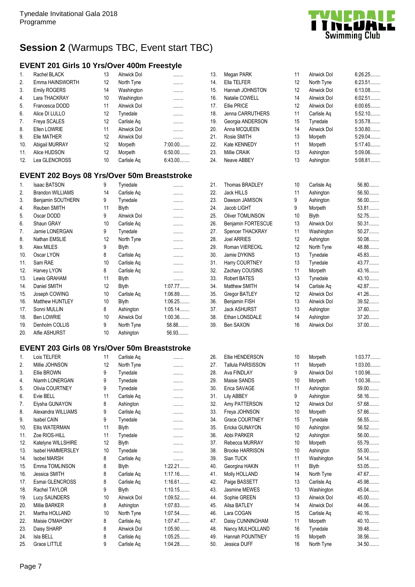## **Session 2** (Warmups TBC, Event start TBC)

## **EVENT 201 Girls 10 Yrs/Over 400m Freestyle**

| $\mathbf{1}$ .   | Rachel BLACK        | 13 | Alnwick Dol        |           |
|------------------|---------------------|----|--------------------|-----------|
| 2.               | Emma HAINSWORTH     | 12 | North Tyne         |           |
| 3.               | <b>Emily ROGERS</b> | 14 | Washington         |           |
| $\overline{4}$ . | Lara THACKRAY       | 10 | Washington         |           |
| 5.               | Francesca DODD      | 11 | Alnwick Dol        |           |
| 6.               | Alice DI LULLO      | 12 | Tynedale           |           |
| 7.               | Freya SCALES        | 12 | Carlisle Aq        |           |
| 8.               | Ellen LOWRIE        | 11 | <b>Alnwick Dol</b> |           |
| 9.               | Elle MATHER         | 12 | <b>Alnwick Dol</b> |           |
| 10.              | Abigail MURRAY      | 12 | Morpeth            | $7:00.00$ |
| 11.              | Alice HUDSON        | 12 | Morpeth            | $6:50.00$ |
| 12.              | Lea GLENCROSS       | 10 | Carlisle Ag        | $6:43.00$ |

### **EVENT 202 Boys 08 Yrs/Over 50m Breaststroke**

| 1.  | <b>Isaac BATSON</b>     | 9  | Tynedale           | .         |
|-----|-------------------------|----|--------------------|-----------|
| 2.  | <b>Brandon WILLIAMS</b> | 14 | Carlisle Aq        |           |
| 3.  | Benjamin SOUTHERN       | 9  | Tynedale           |           |
| 4.  | Reuben SMITH            | 11 | <b>Blyth</b>       |           |
| 5.  | Oscar DODD              | 9  | <b>Alnwick Dol</b> |           |
| 6.  | Shaun GRAY              | 10 | Carlisle Aq        |           |
| 7.  | Jamie LONERGAN          | 9  | Tynedale           |           |
| 8.  | Nathan EMSLIE           | 12 | North Tyne         |           |
| 9.  | Alex MILES              | 9  | <b>Blyth</b>       |           |
| 10. | Oscar LYON              | 8  | Carlisle Aq        |           |
| 11. | Sam RAE                 | 10 | Carlisle Aq        |           |
| 12. | Harvey LYON             | 8  | Carlisle Aq        |           |
| 13. | Lewis GRAHAM            | 11 | Blyth              |           |
| 14. | Daniel SMITH            | 12 | <b>Blyth</b>       | 1:07.77   |
| 15. | Joseph COWING           | 10 | Carlisle Aq        | 1:06.89   |
| 16. | Matthew HUNTLEY         | 10 | <b>Blyth</b>       | 1:06.25   |
| 17. | Sonni MULLIN            | 8  | Ashington          | $1:05.14$ |
| 18. | Ben LOWRIE              | 10 | Alnwick Dol        | 1:00.36   |
| 19. | Denholm COLLIS          | 9  | North Tyne         | 58.88     |
| 20. | Alfie ASHURST           | 10 | Ashington          | 56.93     |

## **EVENT 203 Girls 08 Yrs/Over 50m Breaststroke**

| 1.  | Lois TELFER              | 11 | Carlisle Aq  | .       |
|-----|--------------------------|----|--------------|---------|
| 2.  | Millie JOHNSON           | 12 | North Tyne   | .       |
| 3.  | Ellie BROWN              | 9  | Tynedale     |         |
| 4.  | Niamh LONERGAN           | 9  | Tynedale     |         |
| 5.  | Olivia COURTNEY          | 9  | Tynedale     |         |
| 6.  | Evie BELL                | 11 | Carlisle Aq  |         |
| 7.  | Elysha GUNAYON           | 8  | Ashington    |         |
| 8.  | Alexandra WILLIAMS       | 9  | Carlisle Aq  | .       |
| 9.  | <b>Isabel CAIN</b>       | 9  | Tynedale     |         |
| 10. | <b>Ellis WATERMAN</b>    | 11 | <b>Blyth</b> | .       |
| 11. | Zoe RIOS-HILL            | 11 | Tynedale     |         |
| 12. | Katelyne WILLSHIRE       | 12 | <b>Blyth</b> | .       |
| 13. | <b>Isabel HAMMERSLEY</b> | 10 | Tynedale     |         |
| 14. | <b>Isobel MARSH</b>      | 8  | Carlisle Ag  | .       |
| 15. | Emma TOMLINSON           | 8  | <b>Blyth</b> | 1:22.21 |
| 16. | Jessica SMITH            | 8  | Carlisle Ag  | 1:17.16 |
| 17. | Esmai GLENCROSS          | 8  | Carlisle Aq  | 1:16.61 |
| 18. | Rachel TAYLOR            | 9  | <b>Blyth</b> | 1:10.15 |
| 19. | <b>Lucy SAUNDERS</b>     | 10 | Alnwick Dol  | 1:09.52 |
| 20. | Millie BARKER            | 8  | Ashington    | 1:07.83 |
| 21. | Martha HOLLAND           | 10 | North Tyne   | 1:07.54 |
| 22. | Maisie O'MAHONY          | 8  | Carlisle Aq  | 1:07.47 |
| 23. | Daisy SHARP              | 8  | Alnwick Dol  | 1:05.90 |
| 24. | Isla BELL                | 8  | Carlisle Aq  | 1:05.25 |
| 25. | <b>Grace LITTLE</b>      | 9  | Carlisle Ag  | 1:04.28 |

| 13. | Megan PARK               | 11 | Alnwick Dol        | $6:26.25\dots$ |
|-----|--------------------------|----|--------------------|----------------|
| 14. | Ella TELFER              | 12 | North Tyne         | $6:23.51$      |
| 15. | Hannah JOHNSTON          | 12 | Alnwick Dol        | 6:13.08        |
| 16. | Natalie COWELL           | 14 | Alnwick Dol        | 6:02.51        |
| 17. | <b>Ellie PRICE</b>       | 12 | Alnwick Dol        | 6:00.65        |
| 18. | Jenna CARRUTHERS         | 11 | Carlisle Aq        | $5:52.10$      |
| 19. | Georgia ANDERSON         | 15 | Tynedale           | 5:35.78        |
| 20. |                          | 14 | Alnwick Dol        | $5:30.80$      |
|     | Anna MCQUEEN             |    |                    |                |
| 21. | Rosie SMITH              | 13 | Morpeth            | 5:29.04        |
| 22. | Kate KENNEDY             | 11 | Morpeth            | $5:17.40$      |
| 23. | Millie CRAIK             | 13 | Ashington          | 5:09.06        |
| 24. | Neave ABBEY              | 13 | Ashington          | 5:08.81        |
| 21. | Thomas BRADLEY           | 10 | Carlisle Aq        | 56.80          |
| 22. | <b>Jack HILLS</b>        | 11 | Ashington          | 56.50          |
| 23. | Dawson JAMISON           | 9  | Ashington          | 56.00          |
| 24. | Jacob LIGHT              | 9  | Morpeth            | 53.81          |
| 25. | <b>Oliver TOMLINSON</b>  | 10 | <b>Blyth</b>       | 52.75          |
| 26. | Benjamin FORTESCUE       | 13 | Alnwick Dol        | 50.31          |
| 27. | Spencer THACKRAY         | 11 | Washington         | 50.27          |
| 28. | <b>Joel ARRIES</b>       | 12 | Ashington          | $50.08$        |
| 29. | Roman VIERECKL           | 12 |                    | 48.88          |
|     |                          |    | North Tyne         |                |
| 30. | Jamie DYKINS             | 13 | Tynedale           | 45.83          |
| 31. | Harry COURTNEY           | 13 | Tynedale           | 43.77          |
| 32. | Zachary COUSINS          | 11 | Morpeth            | 43.16          |
| 33. | <b>Robert BATES</b>      | 13 | Tynedale           | 43.10          |
| 34. | Matthew SMITH            | 14 | Carlisle Aq        | 42.87          |
| 35. | <b>Gregor BATLEY</b>     | 12 | Alnwick Dol        | 41.26          |
| 36. | Benjamin FISH            | 13 | Alnwick Dol        | 39.52          |
| 37. | <b>Jack ASHURST</b>      | 13 | Ashington          | 37.60          |
| 38. | Ethan LONSDALE           | 14 | Ashington          | 37.20          |
| 39. | Ben SAXON                | 16 | Alnwick Dol        | 37.00          |
|     |                          |    |                    |                |
| 26. | Ellie HENDERSON          | 10 | Morpeth            | 1:03.77        |
| 27. | <b>Tallula PARSISSON</b> | 11 | Morpeth            | $1:03.00$      |
| 28. | Ava FINDLAY              | 9  | <b>Alnwick Dol</b> | 1:00.96        |
| 29. | Maisie SANDS             | 10 | Morpeth            | 1:00.36        |
| 30. | Erica SAVAGE             | 11 | Ashington          | 59.00          |
| 31. | <b>Lily ABBEY</b>        | 9  | Ashington          | 58.16          |
| 32. | Amy PATTERSON            | 12 | <b>Alnwick Dol</b> | 57.68          |
| 33. | Freya JOHNSON            | 10 | Morpeth            | 57.66          |
| 34. | Grace COURTNEY           | 15 | Tynedale           | 56.55          |
| 35. | Ericka GUNAYON           | 10 | Ashington          | 56.52          |
|     |                          |    |                    |                |
| 36. | Abbi PARKER              | 12 | Ashington          | 56.00          |
| 37. | Rebecca MURRAY           | 10 | Morpeth            | 55.79          |
| 38. | <b>Brooke HARRISON</b>   | 10 | Ashington          | 55.00          |
| 39. | Sian TUCK                | 11 | Washington         | 54.14          |
| 40. | Georgina HAKIN           | 11 | <b>Blyth</b>       | 53.05          |
| 41. | Molly HOLLAND            | 14 | North Tyne         | 47.67          |
| 42. | Paige BASSETT            | 13 | Carlisle Aq        | 45.98          |
| 43. | Jasmine MEWES            | 13 | Washington         | 45.04          |
| 44. | Sophie GREEN             | 13 | Alnwick Dol        | 45.00          |
| 45. | Ailsa BATLEY             | 14 | <b>Alnwick Dol</b> | 44.06          |
| 46. | Lara COGAN               | 15 | Carlisle Aq        | 40.16          |
| 47. | Daisy CUNNINGHAM         | 11 | Morpeth            | 40.10          |
| 48. | Nancy MULHOLLAND         | 16 | Tynedale           | 39.48          |
|     | Hannah POUNTNEY          |    |                    |                |
| 49. |                          | 15 | Morpeth            | 38.56          |
| 50. | Jessica DUFF             | 16 | North Tyne         | 34.50          |

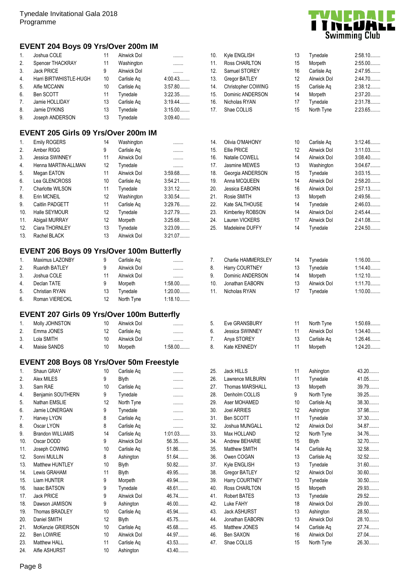## **EVENT 204 Boys 09 Yrs/Over 200m IM**

| $\mathbf{1}$ .   | Joshua COLE            | 11 | Alnwick Dol        | .         |
|------------------|------------------------|----|--------------------|-----------|
| 2.               | Spencer THACKRAY       | 11 | Washington         | .         |
| 3.               | Jack PRICE             | 9  | <b>Alnwick Dol</b> | .         |
| $\overline{4}$ . | Harri BIRTWHISTLE-HUGH | 10 | Carlisle Ag        | 4:00.43   |
| 5.               | Alfie MCCANN           | 10 | Carlisle Ag        | 3:57.80   |
| 6.               | Ben SCOTT              | 11 | Tynedale           | 3:22.35   |
| 7 <sub>1</sub>   | Jamie HOLLIDAY         | 13 | Carlisle Ag        | $3:19.44$ |
| 8.               | Jamie DYKINS           | 13 | Tynedale           | $3:15.00$ |
| 9.               | Joseph ANDERSON        | 13 | Tynedale           | 3:09.40   |
|                  |                        |    |                    |           |

## **EVENT 205 Girls 09 Yrs/Over 200m IM**

| $\mathbf{1}$ . | <b>Emily ROGERS</b>    | 14                | Washington         | .         |
|----------------|------------------------|-------------------|--------------------|-----------|
| 2.             | Amber RIGG             | 9                 | Carlisle Ag        | .         |
| 3.             | <b>Jessica SWINNEY</b> | 11                | Alnwick Dol        | .         |
| 4.             | Henna MARTIN-ALLMAN    | 12                | Tynedale           | .         |
| 5.             | Megan EATON            | 11                | Alnwick Dol        | 3:59.68   |
| 6.             | Lea GLENCROSS          | 10                | Carlisle Ag        | $3:54.21$ |
| 7.             | Charlotte WILSON       | 11                | Tynedale           | $3:31.12$ |
| 8.             | Erin MCNEIL            | $12 \overline{ }$ | Washington         | 3:30.54   |
| 9.             | Caitlin PADGETT        | 11                | Carlisle Ag        | 3:29.76   |
| 10.            | Halle SEYMOUR          | 12                | Tynedale           | 3:27.79   |
| 11.            | Abigail MURRAY         | 12                | Morpeth            | 3:25.68   |
| 12.            | Ciara THORNLEY         | 13                | Tynedale           | 3:23.09   |
| 13.            | Rachel BLACK           | 13                | <b>Alnwick Dol</b> | 3:21.07   |

## **EVENT 206 Boys 09 Yrs/Over 100m Butterfly**

| $\mathbf{1}$ . | Maximus LAZONBY       | 9  | Carlisle Aq |           |
|----------------|-----------------------|----|-------------|-----------|
| 2.             | <b>Ruaridh BATLEY</b> | 9  | Alnwick Dol |           |
| 3.             | Joshua COLE           | 11 | Alnwick Dol |           |
| 4.             | Declan TATE           | 9  | Morpeth     | $1:58.00$ |
| 5.             | <b>Christian RYAN</b> | 13 | Tynedale    | $1:20.00$ |
| 6.             | Roman VIERECKL        | 12 | North Tyne  | $1:18.10$ |

## **EVENT 207 Girls 09 Yrs/Over 100m Butterfly**

| 1.             | Molly JOHNSTON | 10  | Alnwick Dol |           |
|----------------|----------------|-----|-------------|-----------|
| 2 <sub>1</sub> | Emma JONES     | 12  | Carlisle Ag |           |
| 3.             | Lola SMITH     | 10. | Alnwick Dol |           |
| 4.             | Maisie SANDS   | 10  | Morpeth     | $1:58.00$ |

### **EVENT 208 Boys 08 Yrs/Over 50m Freestyle**

| 1.  | Shaun GRAY              | 10 | Carlisle Aq  | .       |
|-----|-------------------------|----|--------------|---------|
| 2.  | Alex MILES              | 9  | <b>Blyth</b> | .       |
| 3.  | Sam RAE                 | 10 | Carlisle Aq  | .       |
| 4.  | Benjamin SOUTHERN       | 9  | Tynedale     | .       |
| 5.  | Nathan EMSLIE           | 12 | North Tyne   | .       |
| 6.  | Jamie LONERGAN          | 9  | Tynedale     | .       |
| 7.  | Harvey LYON             | 8  | Carlisle Aq  | .       |
| 8.  | Oscar LYON              | 8  | Carlisle Aq  | .       |
| 9.  | <b>Brandon WILLIAMS</b> | 14 | Carlisle Aq  | 1:01.03 |
| 10. | Oscar DODD              | 9  | Alnwick Dol  | 56.35   |
| 11. | Joseph COWING           | 10 | Carlisle Aq  | 51.86   |
| 12. | Sonni MULLIN            | 8  | Ashington    | 51.64   |
| 13. | Matthew HUNTLEY         | 10 | Blyth        | 50.82   |
| 14. | Lewis GRAHAM            | 11 | <b>Blyth</b> | 49.95   |
| 15. | Liam HUNTER             | 9  | Morpeth      | 49.94   |
| 16. | <b>Isaac BATSON</b>     | 9  | Tynedale     | 48.61   |
| 17. | Jack PRICE              | 9  | Alnwick Dol  | 46.74   |
| 18. | Dawson JAMISON          | 9  | Ashington    | 46.00   |
| 19. | Thomas BRADLEY          | 10 | Carlisle Aq  | 45.94   |
| 20. | Daniel SMITH            | 12 | <b>Blyth</b> | 45.75   |
| 21. | McKenzie GRIERSON       | 10 | Carlisle Aq  | 45.68   |
| 22. | <b>Ben LOWRIE</b>       | 10 | Alnwick Dol  | 44.97   |
| 23. | <b>Matthew HALL</b>     | 11 | Carlisle Aq  | 43.53   |
| 24. | Alfie ASHURST           | 10 | Ashington    | 43.40   |



| 10. | Kyle ENGLISH              | 13 | Tynedale           | $2:58.10$ |
|-----|---------------------------|----|--------------------|-----------|
| 11. | Ross CHARLTON             | 15 | Morpeth            | 2:55.00   |
| 12. | Samuel STOREY             | 16 | Carlisle Aq        | 2:47.95   |
| 13. | <b>Gregor BATLEY</b>      | 12 | <b>Alnwick Dol</b> | 2:44.70   |
| 14. | Christopher COWING        | 15 | Carlisle Aq        | $2:38.12$ |
| 15. | Dominic ANDERSON          | 14 | Morpeth            | $2:37.20$ |
| 16. | Nicholas RYAN             | 17 | Tynedale           | 2:31.78   |
| 17. | Shae COLLIS               | 15 | North Tyne         | 2:23.65   |
| 14. | Olivia O'MAHONY           | 10 | Carlisle Aq        | 3:12.46   |
| 15. | <b>Ellie PRICE</b>        | 12 | Alnwick Dol        | 3:11.03   |
| 16. | Natalie COWELL            | 14 | Alnwick Dol        | 3:08.40   |
| 17. | <b>Jasmine MEWES</b>      | 13 | Washington         | 3:04.67   |
| 18. | Georgia ANDERSON          | 15 | Tynedale           | 3:03.15   |
| 19. | Anna MCQUEEN              | 14 | <b>Alnwick Dol</b> | 2:58.20   |
| 20. | Jessica EABORN            | 16 | <b>Alnwick Dol</b> | 2:57.13   |
| 21. | Rosie SMITH               | 13 | Morpeth            | 2:49.56   |
| 22. | Kate SALTHOUSE            | 14 | Tynedale           | 2:46.03   |
| 23. | Kimberley ROBSON          | 14 | <b>Alnwick Dol</b> | 2:45.44   |
| 24. | Lauren VICKERS            | 17 | Alnwick Dol        | 2:41.08   |
| 25. | Madeleine DUFFY           | 14 | Tynedale           | 2:24.50   |
| 7.  | <b>Charlie HAMMERSLEY</b> | 14 | Tynedale           | $1:16.00$ |
| 8.  | Harry COURTNEY            | 13 | Tynedale           | 1:14.40   |
| 9.  | Dominic ANDERSON          | 14 | Morpeth            | 1:12.10   |
| 10. | Jonathan EABORN           | 13 | Alnwick Dol        | 1:11.70   |
| 11. | Nicholas RYAN             | 17 | Tynedale           | $1:10.00$ |
| 5.  | Eve GRANSBURY             | 11 | North Tyne         | 1:50.69   |
| 6.  | <b>Jessica SWINNEY</b>    | 11 | <b>Alnwick Dol</b> | $1:34.40$ |
| 7.  | Anya STOREY               | 13 | Carlisle Ag        | 1:26.46   |
| 8.  | Kate KENNEDY              | 11 | Morpeth            | 1:24.20   |
| 25. | Jack HILLS                | 11 | Ashington          | 43.20     |
| 26. | Lawrence MILBURN          | 11 | Tynedale           | 41.05     |
| 27. | <b>Thomas MARSHALL</b>    | 13 | Morpeth            | 39.79     |
| 28. | Denholm COLLIS            | 9  | North Tyne         | 39.25     |
| 29. | Aser MOHAMED              | 10 | Carlisle Ag        | 38.30     |
| 30. | <b>Joel ARRIES</b>        | 12 | Ashington          | 37.98     |
| 31. | Ben SCOTT                 | 11 | Tynedale           | 37.30     |
| 32. | Joshua MUNGALL            | 12 | Alnwick Dol        | 34.87     |
| 33. | Max HOLLAND               | 12 | North Tyne         | 34.76     |
| 34. | Andrew BEHARIE            | 15 | <b>Blyth</b>       | 32.70     |
| 35. | Matthew SMITH             | 14 | Carlisle Aq        | 32.58     |
| 36. | Owen COGAN                | 13 | Carlisle Aq        | 32.52     |
| 37. | Kyle ENGLISH              | 13 | Tynedale           | 31.60     |
| 38. | <b>Gregor BATLEY</b>      | 12 | <b>Alnwick Dol</b> | $30.60$   |
| 39. | Harry COURTNEY            | 13 | Tynedale           | $30.50$   |
| 40. | Ross CHARLTON             | 15 | Morpeth            | 29.93     |
| 41. | <b>Robert BATES</b>       | 13 | Tynedale           | 29.52     |
| 42. | Luke FAHY                 | 18 | Alnwick Dol        | 29.00     |
| 43. | <b>Jack ASHURST</b>       | 13 | Ashington          | 28.50     |
| 44. | Jonathan EABORN           | 13 | Alnwick Dol        | 28.10     |
| 45. | Matthew JONES             | 14 | Carlisle Ag        | 27.74     |
| 46. | Ben SAXON                 | 16 | Alnwick Dol        | 27.04     |
| 47. | Shae COLLIS               | 15 | North Tyne         | 26.30     |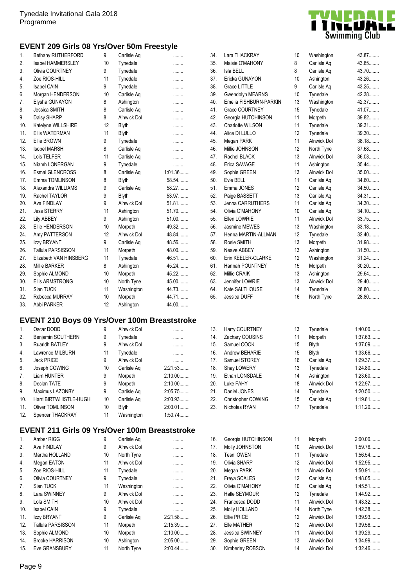### **EVENT 209 Girls 08 Yrs/Over 50m Freestyle**

| 1.  | Bethany RUTHERFORD                     | 9  | Carlisle Aq        |         |
|-----|----------------------------------------|----|--------------------|---------|
| 2.  | <b>Isabel HAMMERSLEY</b>               | 10 | Tynedale           |         |
| 3.  | Olivia COURTNEY                        | 9  | Tynedale           |         |
| 4.  | Zoe RIOS-HILL                          | 11 | Tynedale           |         |
| 5.  | Isabel CAIN                            | 9  | Tynedale           | .       |
| 6.  | Morgan HENDERSON                       | 10 | Carlisle Aq        |         |
| 7.  |                                        | 8  |                    | .       |
| 8.  | Elysha GUNAYON<br><b>Jessica SMITH</b> |    | Ashington          | .       |
|     |                                        | 8  | Carlisle Aq        |         |
| 9.  | Daisy SHARP                            | 8  | <b>Alnwick Dol</b> |         |
| 10. | Katelyne WILLSHIRE                     | 12 | <b>Blyth</b>       |         |
| 11. | <b>Ellis WATERMAN</b>                  | 11 | Blyth              |         |
| 12. | Ellie BROWN                            | 9  | Tynedale           |         |
| 13. | <b>Isobel MARSH</b>                    | 8  | Carlisle Aq        | .       |
| 14. | Lois TELFER                            | 11 | Carlisle Aq        | .       |
| 15. | Niamh LONERGAN                         | 9  | Tynedale           | .       |
| 16. | Esmai GLENCROSS                        | 8  | Carlisle Aq        | 1:01.36 |
| 17. | Emma TOMLINSON                         | 8  | <b>Blyth</b>       | 58.54   |
| 18. | Alexandra WILLIAMS                     | 9  | Carlisle Aq        | 58.27   |
| 19. | Rachel TAYLOR                          | 9  | <b>Blyth</b>       | 53.97   |
| 20. | Ava FINDLAY                            | 9  | <b>Alnwick Dol</b> | 51.81   |
| 21. | <b>Jess STERRY</b>                     | 11 | Ashington          | 51.70   |
| 22. | Lily ABBEY                             | 9  | Ashington          | $51.00$ |
| 23. | Ellie HENDERSON                        | 10 | Morpeth            | 49.32   |
| 24. | Amy PATTERSON                          | 12 | <b>Alnwick Dol</b> | 48.84   |
| 25. | Izzy BRYANT                            | 9  | Carlisle Aq        | 48.56   |
| 26. | Tallula PARSISSON                      | 11 | Morpeth            | 48.00   |
| 27. | Elizabeth VAN HINSBERG                 | 11 | Tynedale           | 46.51   |
| 28. | <b>Millie BARKER</b>                   | 8  | Ashington          | 45.24   |
| 29. | Sophie ALMOND                          | 10 | Morpeth            | 45.22   |
| 30. | <b>Ellis ARMSTRONG</b>                 | 10 | North Tyne         | 45.00   |
| 31. | Sian TUCK                              | 11 | Washington         | 44.73.  |
| 32. | Rebecca MURRAY                         | 10 | Morpeth            | 44.71.  |
| 33. | Abbi PARKER                            | 12 | Ashington          | 44.00   |
|     |                                        |    |                    |         |

## **EVENT 210 Boys 09 Yrs/Over 100m Breaststroke**

| Oscar DODD              | 9  | Alnwick Dol        | .         |
|-------------------------|----|--------------------|-----------|
| Benjamin SOUTHERN       | 9  | Tynedale           |           |
| <b>Ruaridh BATLEY</b>   | 9  | <b>Alnwick Dol</b> |           |
| Lawrence MILBURN        | 11 | Tynedale           |           |
| <b>Jack PRICE</b>       | 9  | <b>Alnwick Dol</b> | .         |
| Joseph COWING           | 10 | Carlisle Ag        | 2:21.53   |
| Liam HUNTER             | 9  | Morpeth            | $2:10.00$ |
| Declan TATE             | 9  | Morpeth            | $2:10.00$ |
| Maximus LAZONBY         | 9  | Carlisle Ag        | 2:05.75   |
| Harri BIRTWHISTLE-HUGH  | 10 | Carlisle Ag        | 2:03.93   |
| <b>Oliver TOMLINSON</b> | 10 | <b>Blyth</b>       | $2:03.01$ |
| Spencer THACKRAY        | 11 | Washington         | 1:50.74   |
|                         |    |                    |           |

### **EVENT 211 Girls 09 Yrs/Over 100m Breaststroke**

| $1_{\cdot}$ | Amber RIGG               | 9  | Carlisle Aq        |         |
|-------------|--------------------------|----|--------------------|---------|
| 2.          | Ava FINDLAY              | 9  | <b>Alnwick Dol</b> |         |
| 3.          | Martha HOLLAND           | 10 | North Tyne         | .       |
| 4.          | Megan EATON              | 11 | <b>Alnwick Dol</b> | .       |
| 5.          | Zoe RIOS-HILL            | 11 | Tynedale           | .       |
| 6.          | Olivia COURTNEY          | 9  | Tynedale           |         |
| 7.          | Sian TUCK                | 11 | Washington         | .       |
| 8.          | Lara SWINNEY             | 9  | <b>Alnwick Dol</b> | .       |
| 9.          | Lola SMITH               | 10 | <b>Alnwick Dol</b> | .       |
| 10.         | <b>Isabel CAIN</b>       | 9  | Tynedale           | .       |
| 11.         | Izzy BRYANT              | 9  | Carlisle Ag        | 2:21.58 |
| 12.         | <b>Tallula PARSISSON</b> | 11 | Morpeth            | 2:15.39 |
| 13.         | Sophie ALMOND            | 10 | Morpeth            | 2:10.00 |
| 14.         | <b>Brooke HARRISON</b>   | 10 | Ashington          | 2:05.00 |
| 15.         | Eve GRANSBURY            | 11 | North Tyne         | 2:00.44 |



| 34. | Lara THACKRAY           | 10 | Washington         | 43.87     |
|-----|-------------------------|----|--------------------|-----------|
| 35. | Maisie O'MAHONY         | 8  | Carlisle Aq        | 43.85     |
| 36. | Isla BELL               | 8  | Carlisle Aq        | 43.70     |
| 37. | Ericka GUNAYON          | 10 | Ashington          | 43.26     |
| 38. | Grace LITTLE            | 9  | Carlisle Aq        | 43.25     |
| 39. | Gwendolyn MEARNS        | 10 | Tynedale           | 42.38     |
| 40. | Emelia FISHBURN-PARKIN  | 13 | Washington         | 42.37     |
| 41. | <b>Grace COURTNEY</b>   | 15 | Tynedale           | 41.07     |
| 42. | Georgia HUTCHINSON      | 11 | Morpeth            | 39.82     |
| 43. | <b>Charlotte WILSON</b> | 11 | Tynedale           | 39.31     |
| 44. | Alice DI LULLO          | 12 | Tynedale           | 39.30     |
| 45. | Megan PARK              | 11 | <b>Alnwick Dol</b> | 38.18.    |
| 46. | Millie JOHNSON          | 12 | North Tyne         | 37.68     |
| 47. | Rachel BLACK            | 13 | Alnwick Dol        | 36.03     |
| 48. | Erica SAVAGE            | 11 | Ashington          | 35.44     |
| 49. | Sophie GREEN            | 13 | <b>Alnwick Dol</b> | 35.00     |
| 50. | Evie BELL               | 11 | Carlisle Aq        | 34.60     |
| 51. | Emma JONES              | 12 | Carlisle Aq        | 34.50     |
| 52. | Paige BASSETT           | 13 | Carlisle Aq        | 34.31     |
| 53. | Jenna CARRUTHERS        | 11 | Carlisle Aq        | 34.30     |
| 54. | Olivia O'MAHONY         | 10 | Carlisle Aq        | 34.10     |
| 55. | Ellen LOWRIE            | 11 | <b>Alnwick Dol</b> | 33.75     |
| 56. | Jasmine MEWES           | 13 | Washington         | 33.18.    |
| 57. | Henna MARTIN-ALLMAN     | 12 | Tynedale           | $32.40$   |
| 58. | Rosie SMITH             | 13 | Morpeth            | 31.98     |
| 59. | Neave ABBEY             | 13 | Ashington          | 31.50     |
| 60. | Erin KEELER-CLARKE      | 12 | Washington         | 31.24     |
| 61. | Hannah POUNTNEY         | 15 | Morpeth            | $30.20$   |
| 62. | Millie CRAIK            | 13 | Ashington          | 29.64     |
| 63. | Jennifer LOWRIE         | 13 | <b>Alnwick Dol</b> | 29.40     |
| 64. | Kate SALTHOUSE          | 14 | Tynedale           | 28.80     |
| 65. | Jessica DUFF            | 16 | North Tyne         | 28.80     |
|     |                         |    |                    |           |
|     |                         |    |                    |           |
| 13. | Harry COURTNEY          | 13 | Tynedale           | $1:40.00$ |
| 14. | Zachary COUSINS         | 11 | Morpeth            | 1:37.63   |
| 15. | Samuel COOK             | 15 | <b>Blyth</b>       | 1:37.09   |
| 16. | Andrew BEHARIE          | 15 | <b>Blyth</b>       | 1:33.66   |
| 17. | Samuel STOREY           | 16 | Carlisle Aq        | 1:29.37   |
| 18. | Shay LOWERY             | 13 | Tynedale           | 1:24.80   |
| 19. | Ethan LONSDALE          | 14 | Ashington          | $1:23.60$ |
| 20. | Luke FAHY               | 18 | Alnwick Dol        | 1:22.97   |
| 21. | Daniel JONES            | 14 | Tynedale           | 1:20.50   |
| 22. | Christopher COWING      | 15 | Carlisle Aq        | 1:19.81   |
| 23. | Nicholas RYAN           | 17 | Tynedale           | 1:11.20   |
|     |                         |    |                    |           |
|     |                         |    |                    |           |
| 16. | Georgia HUTCHINSON      | 11 | Morpeth            | 2:00.00   |
| 17. | Molly JOHNSTON          | 10 | Alnwick Dol        | 1:59.76   |
| 18. | Tesni OWEN              | 11 | Tynedale           | 1:56.54   |
| 19. | Olivia SHARP            | 12 | Alnwick Dol        | 1:52.95   |
| 20. | Megan PARK              | 11 | Alnwick Dol        | $1:50.91$ |
| 21. | Freya SCALES            | 12 | Carlisle Aq        | 1:48.05   |
| 22. | Olivia O'MAHONY         | 10 | Carlisle Aq        | 1:45.51   |
| 23. | Halle SEYMOUR           | 12 | Tynedale           | 1:44.92   |
| 24. | Francesca DODD          | 11 | Alnwick Dol        | 1:43.32   |
| 25. | Molly HOLLAND           | 14 | North Tyne         | 1:42.38   |
| 26. | Ellie PRICE             | 12 | Alnwick Dol        | 1:39.93   |
| 27. | Elle MATHER             | 12 | Alnwick Dol        | 1:39.56   |

28. Jessica SWINNEY 11 Alnwick Dol 1:39.29........ 29. Sophie GREEN 13 Alnwick Dol 1:34.99........ 30. Kimberley ROBSON 14 Alnwick Dol 1:32.46........